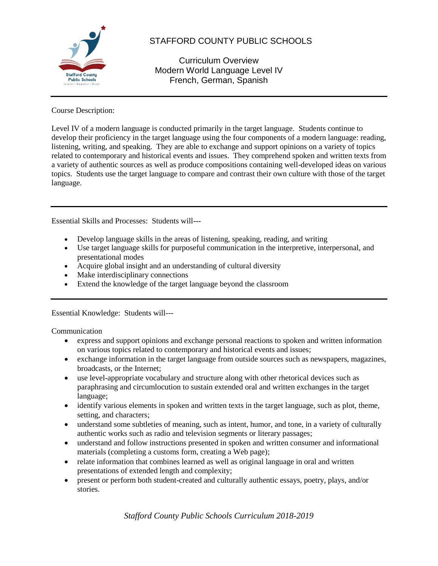

# STAFFORD COUNTY PUBLIC SCHOOLS

Curriculum Overview Modern World Language Level IV French, German, Spanish

### Course Description:

Level IV of a modern language is conducted primarily in the target language. Students continue to develop their proficiency in the target language using the four components of a modern language: reading, listening, writing, and speaking. They are able to exchange and support opinions on a variety of topics related to contemporary and historical events and issues. They comprehend spoken and written texts from a variety of authentic sources as well as produce compositions containing well-developed ideas on various topics. Students use the target language to compare and contrast their own culture with those of the target language.

Essential Skills and Processes: Students will---

- Develop language skills in the areas of listening, speaking, reading, and writing
- Use target language skills for purposeful communication in the interpretive, interpersonal, and presentational modes
- Acquire global insight and an understanding of cultural diversity
- Make interdisciplinary connections
- Extend the knowledge of the target language beyond the classroom

Essential Knowledge: Students will---

Communication

- express and support opinions and exchange personal reactions to spoken and written information on various topics related to contemporary and historical events and issues;
- exchange information in the target language from outside sources such as newspapers, magazines, broadcasts, or the Internet;
- use level-appropriate vocabulary and structure along with other rhetorical devices such as paraphrasing and circumlocution to sustain extended oral and written exchanges in the target language;
- identify various elements in spoken and written texts in the target language, such as plot, theme, setting, and characters;
- understand some subtleties of meaning, such as intent, humor, and tone, in a variety of culturally authentic works such as radio and television segments or literary passages;
- understand and follow instructions presented in spoken and written consumer and informational materials (completing a customs form, creating a Web page);
- relate information that combines learned as well as original language in oral and written presentations of extended length and complexity;
- present or perform both student-created and culturally authentic essays, poetry, plays, and/or stories.

*Stafford County Public Schools Curriculum 2018-2019*